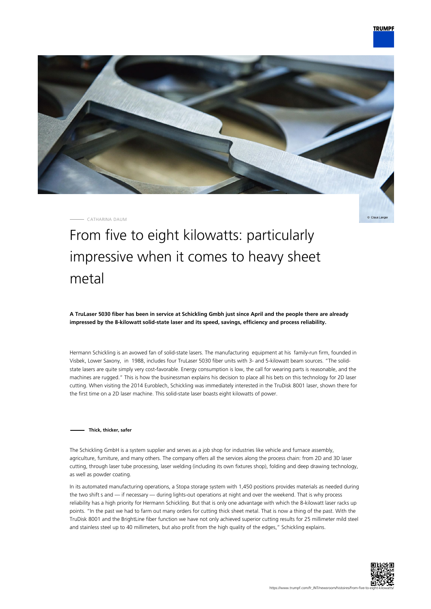

CATHARINA DAUM

Claus Lange

# From five to eight kilowatts: particularly impressive when it comes to heavy sheet metal

**A TruLaser 5030 fiber has been in service at Schickling Gmbh just since April and the people there are already impressed by the 8-kilowatt solid-state laser and its speed, savings, efficiency and process reliability.**

Hermann Schickling is an avowed fan of solid-state lasers. The manufacturing equipment at his family-run firm, founded in Visbek, Lower Saxony, in 1988, includes four TruLaser 5030 fiber units with 3- and 5-kilowatt beam sources. "The solidstate lasers are quite simply very cost-favorable. Energy consumption is low, the call for wearing parts is reasonable, and the machines are rugged." This is how the businessman explains his decision to place all his bets on this technology for 2D laser cutting. When visiting the 2014 Euroblech, Schickling was immediately interested in the TruDisk 8001 laser, shown there for the first time on a 2D laser machine. This solid-state laser boasts eight kilowatts of power.

#### **Thick, thicker, safer**

The Schickling GmbH is a system supplier and serves as a job shop for industries like vehicle and furnace assembly, agriculture, furniture, and many others. The company offers all the services along the process chain: from 2D and 3D laser cutting, through laser tube processing, laser welding (including its own fixtures shop), folding and deep drawing technology, as well as powder coating.

In its automated manufacturing operations, a Stopa storage system with 1,450 positions provides materials as needed during the two shift s and — if necessary — during lights-out operations at night and over the weekend. That is why process reliability has a high priority for Hermann Schickling. But that is only one advantage with which the 8-kilowatt laser racks up points. "In the past we had to farm out many orders for cutting thick sheet metal. That is now a thing of the past. With the TruDisk 8001 and the BrightLine fiber function we have not only achieved superior cutting results for 25 millimeter mild steel and stainless steel up to 40 millimeters, but also profit from the high quality of the edges," Schickling explains.

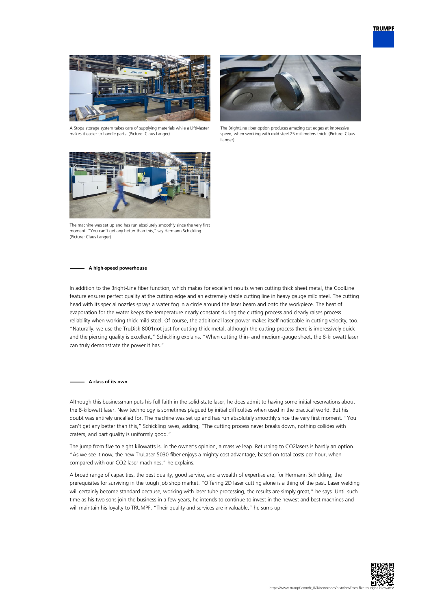

A Stopa storage system takes care of supplying materials while a LiftMaster makes it easier to handle parts. (Picture: Claus Langer)



The BrightLine ciber option produces amazing cut edges at impressive speed, when working with mild steel 25 millimeters thick. (Picture: Claus Langer)



The machine was set up and has run absolutely smoothly since the very first moment. "You can't get any better than this," say Hermann Schickling. (Picture: Claus Langer)

#### **A high-speed powerhouse**

In addition to the Bright-Line fiber function, which makes for excellent results when cutting thick sheet metal, the CoolLine feature ensures perfect quality at the cutting edge and an extremely stable cutting line in heavy gauge mild steel. The cutting head with its special nozzles sprays a water fog in a circle around the laser beam and onto the workpiece. The heat of evaporation for the water keeps the temperature nearly constant during the cutting process and clearly raises process reliability when working thick mild steel. Of course, the additional laser power makes itself noticeable in cutting velocity, too. "Naturally, we use the TruDisk 8001not just for cutting thick metal, although the cutting process there is impressively quick and the piercing quality is excellent," Schickling explains. "When cutting thin- and medium-gauge sheet, the 8-kilowatt laser can truly demonstrate the power it has."

#### **A class of its own**

Although this businessman puts his full faith in the solid-state laser, he does admit to having some initial reservations about the 8-kilowatt laser. New technology is sometimes plagued by initial difficulties when used in the practical world. But his doubt was entirely uncalled for. The machine was set up and has run absolutely smoothly since the very first moment. "You can't get any better than this," Schickling raves, adding, "The cutting process never breaks down, nothing collides with craters, and part quality is uniformly good."

The jump from five to eight kilowatts is, in the owner's opinion, a massive leap. Returning to CO2lasers is hardly an option. "As we see it now, the new TruLaser 5030 fiber enjoys a mighty cost advantage, based on total costs per hour, when compared with our CO2 laser machines," he explains.

A broad range of capacities, the best quality, good service, and a wealth of expertise are, for Hermann Schickling, the prerequisites for surviving in the tough job shop market. "Offering 2D laser cutting alone is a thing of the past. Laser welding will certainly become standard because, working with laser tube processing, the results are simply great," he says. Until such time as his two sons join the business in a few years, he intends to continue to invest in the newest and best machines and will maintain his loyalty to TRUMPF. "Their quality and services are invaluable," he sums up.